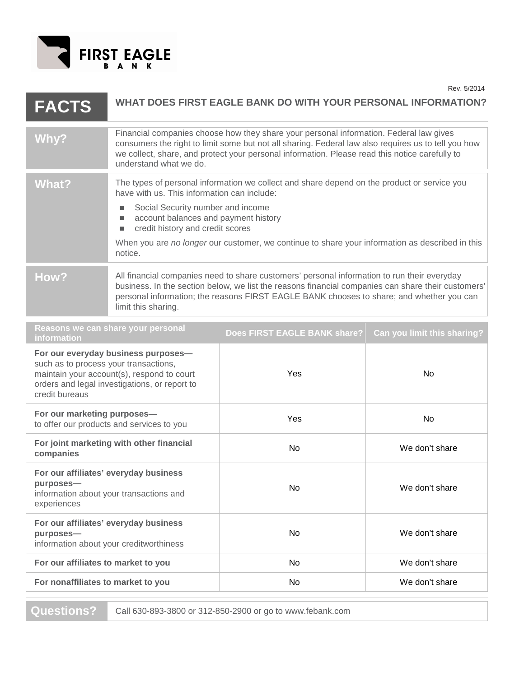

| <b>FACTS</b>                                                                                                                                                                                  | <b>WHAT DOES FIRST EAGLE BANK DO WITH YOUR PERSONAL INFORMATION?</b>                                                                                                                                                                                                                                                      |                                                                                                 |                             |
|-----------------------------------------------------------------------------------------------------------------------------------------------------------------------------------------------|---------------------------------------------------------------------------------------------------------------------------------------------------------------------------------------------------------------------------------------------------------------------------------------------------------------------------|-------------------------------------------------------------------------------------------------|-----------------------------|
| Why?                                                                                                                                                                                          | Financial companies choose how they share your personal information. Federal law gives<br>consumers the right to limit some but not all sharing. Federal law also requires us to tell you how<br>we collect, share, and protect your personal information. Please read this notice carefully to<br>understand what we do. |                                                                                                 |                             |
| <b>What?</b>                                                                                                                                                                                  | The types of personal information we collect and share depend on the product or service you<br>have with us. This information can include:                                                                                                                                                                                |                                                                                                 |                             |
|                                                                                                                                                                                               | Social Security number and income<br><b>I</b><br>account balances and payment history<br>$\blacksquare$<br>credit history and credit scores<br>$\blacksquare$                                                                                                                                                             |                                                                                                 |                             |
|                                                                                                                                                                                               | notice.                                                                                                                                                                                                                                                                                                                   | When you are no longer our customer, we continue to share your information as described in this |                             |
| How?                                                                                                                                                                                          | All financial companies need to share customers' personal information to run their everyday<br>business. In the section below, we list the reasons financial companies can share their customers'<br>personal information; the reasons FIRST EAGLE BANK chooses to share; and whether you can<br>limit this sharing.      |                                                                                                 |                             |
| Reasons we can share your personal<br>information                                                                                                                                             |                                                                                                                                                                                                                                                                                                                           | Does FIRST EAGLE BANK share?                                                                    | Can you limit this sharing? |
| For our everyday business purposes-<br>such as to process your transactions,<br>maintain your account(s), respond to court<br>orders and legal investigations, or report to<br>credit bureaus |                                                                                                                                                                                                                                                                                                                           | Yes                                                                                             | No                          |
| For our marketing purposes-<br>to offer our products and services to you                                                                                                                      |                                                                                                                                                                                                                                                                                                                           | Yes                                                                                             | No                          |
| For joint marketing with other financial<br>companies                                                                                                                                         |                                                                                                                                                                                                                                                                                                                           | No                                                                                              | We don't share              |
| For our affiliates' everyday business<br>purposes-<br>information about your transactions and<br>experiences                                                                                  |                                                                                                                                                                                                                                                                                                                           | No                                                                                              | We don't share              |
| For our affiliates' everyday business<br>purposes-<br>information about your creditworthiness                                                                                                 |                                                                                                                                                                                                                                                                                                                           | <b>No</b>                                                                                       | We don't share              |
| For our affiliates to market to you                                                                                                                                                           |                                                                                                                                                                                                                                                                                                                           | No                                                                                              | We don't share              |
| For nonaffiliates to market to you                                                                                                                                                            |                                                                                                                                                                                                                                                                                                                           | No                                                                                              | We don't share              |

**Questions?** Call 630-893-3800 or 312-850-2900 or go to www.febank.com